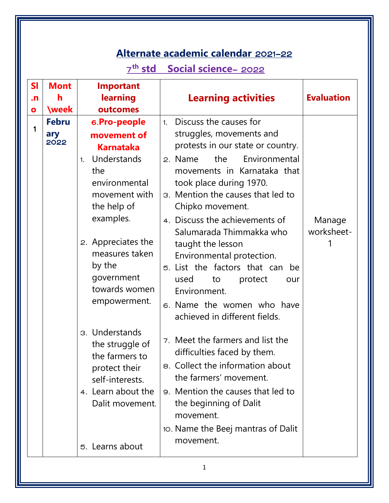# **Alternate academic calendar** 2021-22

# 7 **th std Social science**- 2022

| SI        | <b>Mont</b>  | <b>Important</b>   |                                    |                   |
|-----------|--------------|--------------------|------------------------------------|-------------------|
| $\cdot$ n | h            | learning           | <b>Learning activities</b>         | <b>Evaluation</b> |
| $\bullet$ | <b>\week</b> | outcomes           |                                    |                   |
| 1         | <b>Febru</b> | 6.Pro-people       | Discuss the causes for<br>1.       |                   |
|           | ary<br>2022  | movement of        | struggles, movements and           |                   |
|           |              | <b>Karnataka</b>   | protests in our state or country.  |                   |
|           |              | Understands<br>1.  | Environmental<br>the<br>2. Name    |                   |
|           |              | the                | movements in Karnataka that        |                   |
|           |              | environmental      | took place during 1970.            |                   |
|           |              | movement with      | 3. Mention the causes that led to  |                   |
|           |              | the help of        | Chipko movement.                   |                   |
|           |              | examples.          | 4. Discuss the achievements of     | Manage            |
|           |              |                    | Salumarada Thimmakka who           | worksheet-        |
|           |              | 2. Appreciates the | taught the lesson                  |                   |
|           |              | measures taken     | Environmental protection.          |                   |
|           |              | by the             | 5. List the factors that can be    |                   |
|           |              | government         | used<br>protect<br>to<br>our       |                   |
|           |              | towards women      | Environment.                       |                   |
|           |              | empowerment.       | 6. Name the women who have         |                   |
|           |              |                    | achieved in different fields.      |                   |
|           |              | 3. Understands     |                                    |                   |
|           |              | the struggle of    | 7. Meet the farmers and list the   |                   |
|           |              | the farmers to     | difficulties faced by them.        |                   |
|           |              | protect their      | 8. Collect the information about   |                   |
|           |              | self-interests.    | the farmers' movement.             |                   |
|           |              | 4. Learn about the | 9. Mention the causes that led to  |                   |
|           |              | Dalit movement.    | the beginning of Dalit             |                   |
|           |              |                    | movement.                          |                   |
|           |              |                    | 10. Name the Beej mantras of Dalit |                   |
|           |              | 5. Learns about    | movement.                          |                   |
|           |              |                    |                                    |                   |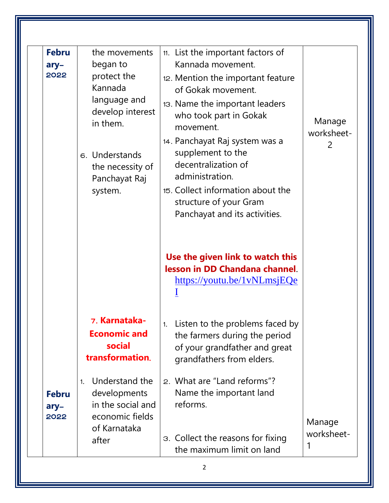| <b>Febru</b>                   | the movements                                                                                                                                        | 11. List the important factors of                                                                                                                                                                                                                                                                                                                      |                           |
|--------------------------------|------------------------------------------------------------------------------------------------------------------------------------------------------|--------------------------------------------------------------------------------------------------------------------------------------------------------------------------------------------------------------------------------------------------------------------------------------------------------------------------------------------------------|---------------------------|
| ary-<br>2022                   | began to<br>protect the<br>Kannada<br>language and<br>develop interest<br>in them.<br>6. Understands<br>the necessity of<br>Panchayat Raj<br>system. | Kannada movement.<br>12. Mention the important feature<br>of Gokak movement.<br>13. Name the important leaders<br>who took part in Gokak<br>movement.<br>14. Panchayat Raj system was a<br>supplement to the<br>decentralization of<br>administration.<br>15. Collect information about the<br>structure of your Gram<br>Panchayat and its activities. | Manage<br>worksheet-<br>2 |
|                                |                                                                                                                                                      | Use the given link to watch this<br>lesson in DD Chandana channel.<br>https://youtu.be/1vNLmsjEQe                                                                                                                                                                                                                                                      |                           |
|                                |                                                                                                                                                      |                                                                                                                                                                                                                                                                                                                                                        |                           |
|                                | 7. Karnataka-<br><b>Economic and</b><br>social<br>transformation.                                                                                    | Listen to the problems faced by<br>1.<br>the farmers during the period<br>of your grandfather and great<br>grandfathers from elders.                                                                                                                                                                                                                   |                           |
| <b>Febru</b><br>$ary-$<br>2022 | Understand the<br>1 <sub>1</sub><br>developments<br>in the social and<br>economic fields<br>of Karnataka                                             | 2. What are "Land reforms"?<br>Name the important land<br>reforms.                                                                                                                                                                                                                                                                                     | Manage<br>worksheet-      |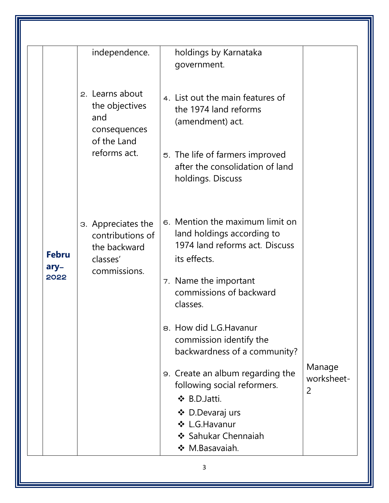|                              | independence.                                                                           | holdings by Karnataka<br>government.                                                                                                                                            |                              |
|------------------------------|-----------------------------------------------------------------------------------------|---------------------------------------------------------------------------------------------------------------------------------------------------------------------------------|------------------------------|
|                              | 2. Learns about<br>the objectives<br>and<br>consequences<br>of the Land<br>reforms act. | 4. List out the main features of<br>the 1974 land reforms<br>(amendment) act.<br>5. The life of farmers improved<br>after the consolidation of land<br>holdings. Discuss        |                              |
| <b>Febru</b><br>ary-<br>2022 | 3. Appreciates the<br>contributions of<br>the backward<br>classes'<br>commissions.      | 6. Mention the maximum limit on<br>land holdings according to<br>1974 land reforms act. Discuss<br>its effects.<br>7. Name the important<br>commissions of backward<br>classes. |                              |
|                              |                                                                                         | 8. How did L.G. Havanur<br>commission identify the<br>backwardness of a community?<br>9. Create an album regarding the                                                          | Manage                       |
|                              |                                                                                         | following social reformers.<br>❖ B.D.Jatti.<br>❖ D.Devaraj urs<br>❖ L.G.Havanur<br>❖ Sahukar Chennaiah<br>❖ M.Basavaiah.                                                        | worksheet-<br>$\overline{2}$ |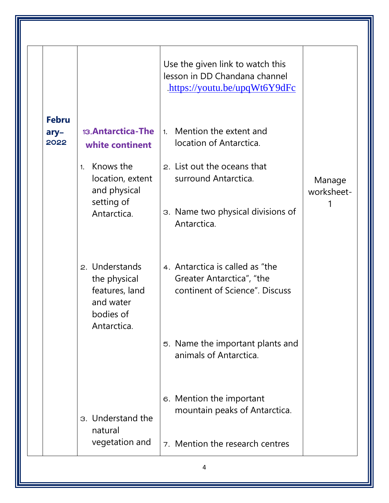|                              |                                                                                           | Use the given link to watch this<br>lesson in DD Chandana channel<br>https://youtu.be/upqWt6Y9dFc |                      |
|------------------------------|-------------------------------------------------------------------------------------------|---------------------------------------------------------------------------------------------------|----------------------|
| <b>Febru</b><br>ary-<br>2022 | 13. Antarctica-The<br>white continent                                                     | Mention the extent and<br>1.<br>location of Antarctica.                                           |                      |
|                              | Knows the<br>1.<br>location, extent<br>and physical                                       | 2. List out the oceans that<br>surround Antarctica.                                               | Manage<br>worksheet- |
|                              | setting of<br>Antarctica.                                                                 | 3. Name two physical divisions of<br>Antarctica.                                                  |                      |
|                              | 2. Understands<br>the physical<br>features, land<br>and water<br>bodies of<br>Antarctica. | 4. Antarctica is called as "the<br>Greater Antarctica", "the<br>continent of Science". Discuss    |                      |
|                              |                                                                                           | 5. Name the important plants and<br>animals of Antarctica.                                        |                      |
|                              | 3. Understand the<br>natural                                                              | 6. Mention the important<br>mountain peaks of Antarctica.                                         |                      |
|                              | vegetation and                                                                            | 7. Mention the research centres                                                                   |                      |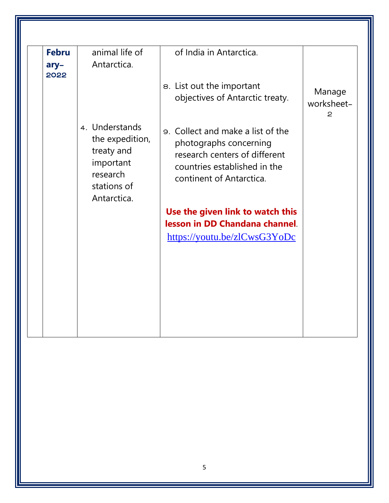| Antarctica.                                                                                            | 8. List out the important                                                                                                                                |                                      |
|--------------------------------------------------------------------------------------------------------|----------------------------------------------------------------------------------------------------------------------------------------------------------|--------------------------------------|
|                                                                                                        |                                                                                                                                                          |                                      |
|                                                                                                        | objectives of Antarctic treaty.                                                                                                                          | Manage<br>worksheet-<br>$\mathbf{2}$ |
| 4. Understands<br>the expedition,<br>treaty and<br>important<br>research<br>stations of<br>Antarctica. | 9. Collect and make a list of the<br>photographs concerning<br>research centers of different<br>countries established in the<br>continent of Antarctica. |                                      |
|                                                                                                        | Use the given link to watch this                                                                                                                         |                                      |
|                                                                                                        | lesson in DD Chandana channel.                                                                                                                           |                                      |
|                                                                                                        | https://youtu.be/zlCwsG3YoDc                                                                                                                             |                                      |
|                                                                                                        |                                                                                                                                                          |                                      |
|                                                                                                        |                                                                                                                                                          |                                      |
|                                                                                                        |                                                                                                                                                          |                                      |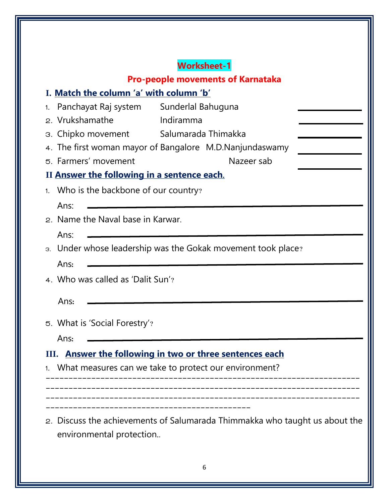|                                             | <b>Worksheet-1</b>                                                          |
|---------------------------------------------|-----------------------------------------------------------------------------|
|                                             | <b>Pro-people movements of Karnataka</b>                                    |
| I. Match the column 'a' with column 'b'     |                                                                             |
| Panchayat Raj system<br>2. Vrukshamathe     | Sunderlal Bahuguna<br>Indiramma                                             |
| 3. Chipko movement Salumarada Thimakka      |                                                                             |
|                                             | 4. The first woman mayor of Bangalore M.D.Nanjundaswamy                     |
| 5. Farmers' movement                        | Nazeer sab                                                                  |
| II Answer the following in a sentence each. |                                                                             |
| 1. Who is the backbone of our country?      |                                                                             |
|                                             |                                                                             |
| Ans:<br>2. Name the Naval base in Karwar.   |                                                                             |
|                                             |                                                                             |
| Ans:                                        |                                                                             |
|                                             | 3. Under whose leadership was the Gokak movement took place?                |
| Ans:                                        |                                                                             |
| 4. Who was called as 'Dalit Sun'?           |                                                                             |
| Ans:                                        |                                                                             |
|                                             |                                                                             |
| 5. What is 'Social Forestry'?               |                                                                             |
| Ans:                                        |                                                                             |
|                                             | III. Answer the following in two or three sentences each                    |
|                                             | What measures can we take to protect our environment?                       |
|                                             |                                                                             |
|                                             |                                                                             |
|                                             |                                                                             |
|                                             | 2. Discuss the achievements of Salumarada Thimmakka who taught us about the |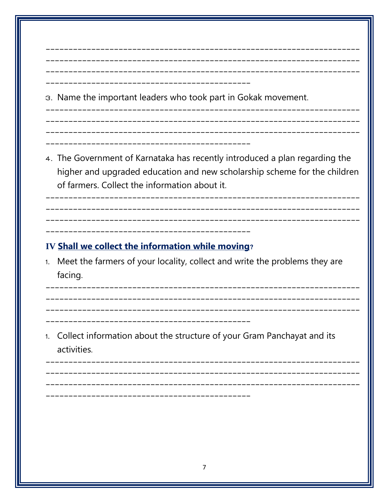| 3. Name the important leaders who took part in Gokak movement.                                                                                                                                                                                      |
|-----------------------------------------------------------------------------------------------------------------------------------------------------------------------------------------------------------------------------------------------------|
| 4. The Government of Karnataka has recently introduced a plan regarding the<br>higher and upgraded education and new scholarship scheme for the children<br>of farmers. Collect the information about it.<br>-------------------------------------- |
|                                                                                                                                                                                                                                                     |
| IV Shall we collect the information while moving?<br>Meet the farmers of your locality, collect and write the problems they are<br>facing.                                                                                                          |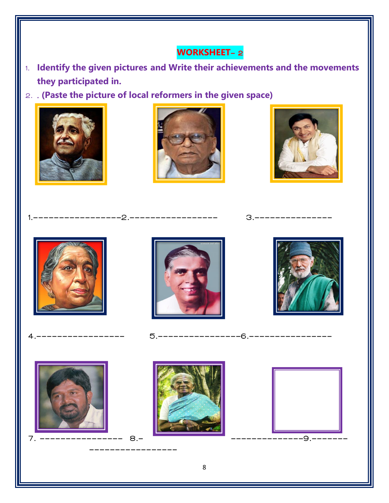## **WORKSHEET**- 2

- 1. **Identify the given pictures and Write their achievements and the movements they participated in.**
- 2. . **(Paste the picture of local reformers in the given space)**



-----------------





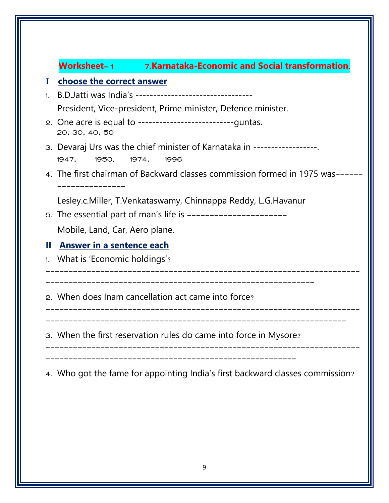| <b>Worksheet-1</b>                 | 7.Karnataka-Economic and Social transformation.                                           |
|------------------------------------|-------------------------------------------------------------------------------------------|
| choose the correct answer<br>I     |                                                                                           |
| 1.                                 | B.D. Jatti was India's ---------------------------------                                  |
|                                    | President, Vice-president, Prime minister, Defence minister.                              |
| 20, 30, 40, 50                     | 2. One acre is equal to ---------------------------------guntas.                          |
| 1950.<br>1947,                     | 3. Devaraj Urs was the chief minister of Karnataka in ------------------<br>1974,<br>1996 |
| -------------                      | 4. The first chairman of Backward classes commission formed in 1975 was------             |
|                                    | Lesley.c.Miller, T.Venkataswamy, Chinnappa Reddy, L.G.Havanur                             |
|                                    | 5. The essential part of man's life is -----------------------                            |
| Mobile, Land, Car, Aero plane.     |                                                                                           |
| Ш<br>Answer in a sentence each     |                                                                                           |
| What is 'Economic holdings'?<br>1. |                                                                                           |
|                                    | 2. When does Inam cancellation act came into force?                                       |
|                                    | 3. When the first reservation rules do came into force in Mysore?                         |
|                                    | 4. Who got the fame for appointing India's first backward classes commission?             |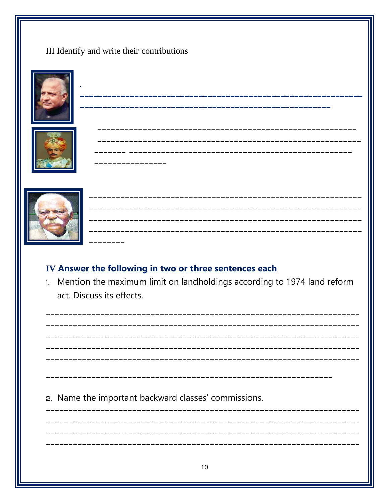III Identify and write their contributions





\_\_\_\_\_\_\_\_\_\_\_\_\_\_\_\_

\_\_\_\_\_\_\_\_\_\_\_\_\_\_\_\_\_\_\_\_\_



| --------- |  |  |  |
|-----------|--|--|--|

## IV Answer the following in two or three sentences each

1. Mention the maximum limit on landholdings according to 1974 land reform act. Discuss its effects.

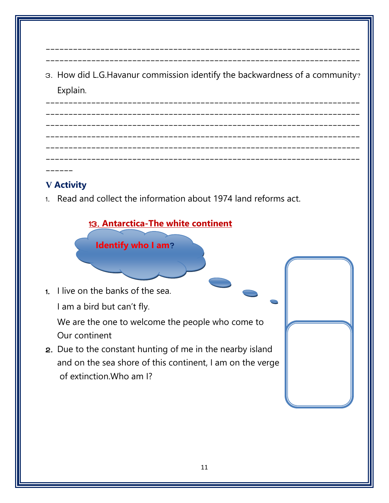3. How did L.G.Havanur commission identify the backwardness of a community? Explain.

--------------------------------------------------------------------- ---------------------------------------------------------------------

--------------------------------------------------------------------- --------------------------------------------------------------------- --------------------------------------------------------------------- --------------------------------------------------------------------- --------------------------------------------------------------------- ---------------------------------------------------------------------

 $\mathbf{r}$ 

## **V Activity**

------

1. Read and collect the information about 1974 land reforms act.

## 13. **Antarctica-The white continent**

**Identify who I am?**

1. I live on the banks of the sea. I am a bird but can't fly.

We are the one to welcome the people who come to Our continent

2. Due to the constant hunting of me in the nearby island and on the sea shore of this continent, I am on the verge of extinction.Who am I?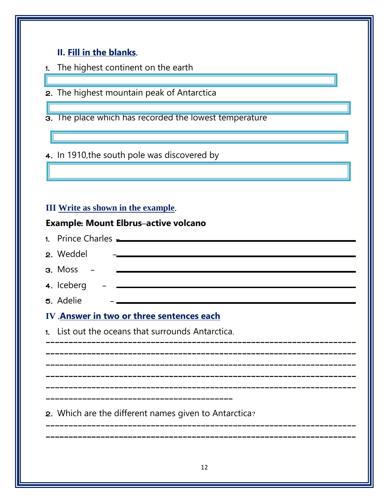#### **II. Fill in the blanks**.

- 1. The highest continent on the earth
- 2. The highest mountain peak of Antarctica
- 3. The place which has recorded the lowest temperature

4. In 1910,the south pole was discovered by

## **III Write as shown in the example**.

Ξ

#### **Example**: **Mount Elbrus–active volcano**

| 1. Prince Charles <u>- Parameters</u>                              |
|--------------------------------------------------------------------|
| 2. Weddel                                                          |
| $3.$ Moss $-$<br><u> 1989 - Johann Barbara, martxa alemaniar a</u> |
| 4. Iceberg $ -$                                                    |
| 5. Adelie<br><u> 1980 - Johann Barbara, martxa alemaniar a</u>     |
| IV Answer in two or three sentences each                           |
| 1. List out the oceans that surrounds Antarctica.                  |
|                                                                    |
|                                                                    |
|                                                                    |
|                                                                    |
| 2. Which are the different names given to Antarctica?              |
|                                                                    |
|                                                                    |
| 12                                                                 |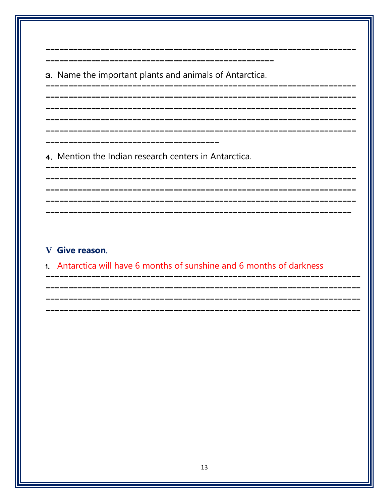3. Name the important plants and animals of Antarctica.

\_\_\_\_\_\_\_\_\_\_\_\_\_\_\_\_

\_\_\_\_\_\_\_\_\_\_\_\_

4. Mention the Indian research centers in Antarctica.

### V Give reason.

1. Antarctica will have 6 months of sunshine and 6 months of darkness